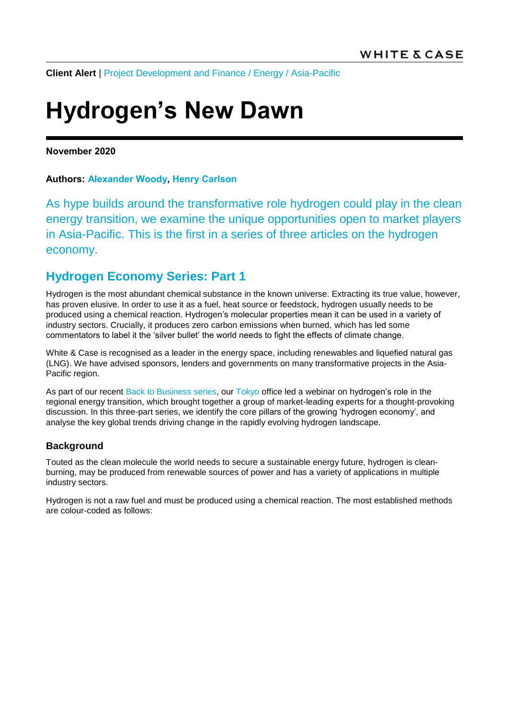**Client Alert** | [Project Development and Finance](https://www.whitecase.com/law/practices/project-development-and-finance) / [Energy](https://www.whitecase.com/law/industries/power) / [Asia-Pacific](https://www.whitecase.com/law/regions/asia-pacific)

# **Hydrogen's New Dawn**

### **November 2020**

## **Authors: [Alexander Woody,](https://www.whitecase.com/people/alexander-woody) [Henry Carlson](https://www.whitecase.com/people/henry-carlson)**

As hype builds around the transformative role hydrogen could play in the clean energy transition, we examine the unique opportunities open to market players in Asia-Pacific. This is the first in a series of three articles on the hydrogen economy.

# **Hydrogen Economy Series: Part 1**

Hydrogen is the most abundant chemical substance in the known universe. Extracting its true value, however, has proven elusive. In order to use it as a fuel, heat source or feedstock, hydrogen usually needs to be produced using a chemical reaction. Hydrogen's molecular properties mean it can be used in a variety of industry sectors. Crucially, it produces zero carbon emissions when burned, which has led some commentators to label it the 'silver bullet' the world needs to fight the effects of climate change.

White & Case is recognised as a leader in the energy space, including renewables and liquefied natural gas (LNG). We have advised sponsors, lenders and governments on many transformative projects in the Asia-Pacific region.

As part of our recent [Back to Business series,](https://www.whitecase.com/publications/event/tokyo-back-business-program-series-2020?s=back%20to%20business) our [Tokyo](https://www.whitecase.com/locations/asia-pacific/tokyo?s=tokyo) office led a webinar on hydrogen's role in the regional energy transition, which brought together a group of market-leading experts for a thought-provoking discussion. In this three-part series, we identify the core pillars of the growing 'hydrogen economy', and analyse the key global trends driving change in the rapidly evolving hydrogen landscape.

# **Background**

Touted as the clean molecule the world needs to secure a sustainable energy future, hydrogen is cleanburning, may be produced from renewable sources of power and has a variety of applications in multiple industry sectors.

Hydrogen is not a raw fuel and must be produced using a chemical reaction. The most established methods are colour-coded as follows: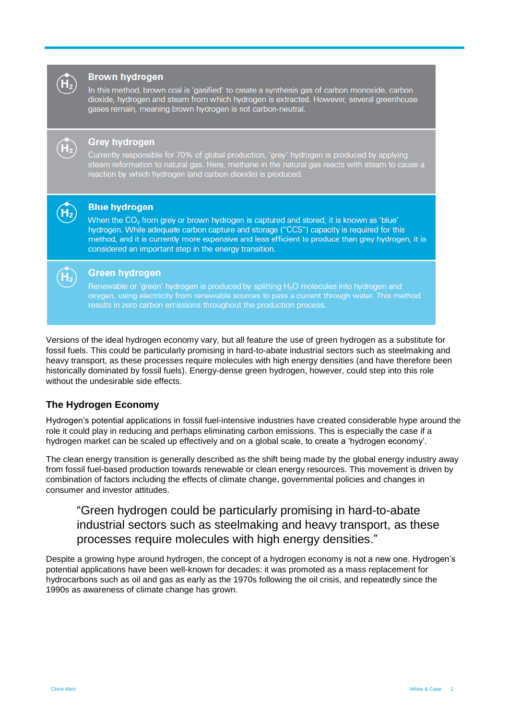

#### **Brown hydrogen**

In this method, brown coal is 'gasified' to create a synthesis gas of carbon monoxide, carbon dioxide, hydrogen and steam from which hydrogen is extracted. However, several greenhouse gases remain, meaning brown hydrogen is not carbon-neutral.



#### **Grey hydrogen**

Currently responsible for 70% of global production, 'grey' hydrogen is produced by applying steam reformation to natural gas. Here, methane in the natural gas reacts with steam to cause a reaction by which hydrogen (and carbon dioxide) is produced.



#### **Blue hydrogen**

When the CO<sub>2</sub> from grey or brown hydrogen is captured and stored, it is known as 'blue' hydrogen. While adequate carbon capture and storage ("CCS") capacity is required for this method, and it is currently more expensive and less efficient to produce than grey hydrogen, it is considered an important step in the energy transition.



#### **Green hydrogen**

Renewable or 'green' hydrogen is produced by splitting H<sub>2</sub>O molecules into hydrogen and oxygen, using electricity from renewable sources to pass a current through water. This method results in zero carbon emissions throughout the production process.

Versions of the ideal hydrogen economy vary, but all feature the use of green hydrogen as a substitute for fossil fuels. This could be particularly promising in hard-to-abate industrial sectors such as steelmaking and heavy transport, as these processes require molecules with high energy densities (and have therefore been historically dominated by fossil fuels). Energy-dense green hydrogen, however, could step into this role without the undesirable side effects.

# **The Hydrogen Economy**

Hydrogen's potential applications in fossil fuel-intensive industries have created considerable hype around the role it could play in reducing and perhaps eliminating carbon emissions. This is especially the case if a hydrogen market can be scaled up effectively and on a global scale, to create a 'hydrogen economy'.

The clean energy transition is generally described as the shift being made by the global energy industry away from fossil fuel-based production towards renewable or clean energy resources. This movement is driven by combination of factors including the effects of climate change, governmental policies and changes in consumer and investor attitudes.

# "Green hydrogen could be particularly promising in hard-to-abate industrial sectors such as steelmaking and heavy transport, as these processes require molecules with high energy densities."

Despite a growing hype around hydrogen, the concept of a hydrogen economy is not a new one. Hydrogen's potential applications have been well-known for decades: it was promoted as a mass replacement for hydrocarbons such as oil and gas as early as the 1970s following the oil crisis, and repeatedly since the 1990s as awareness of climate change has grown.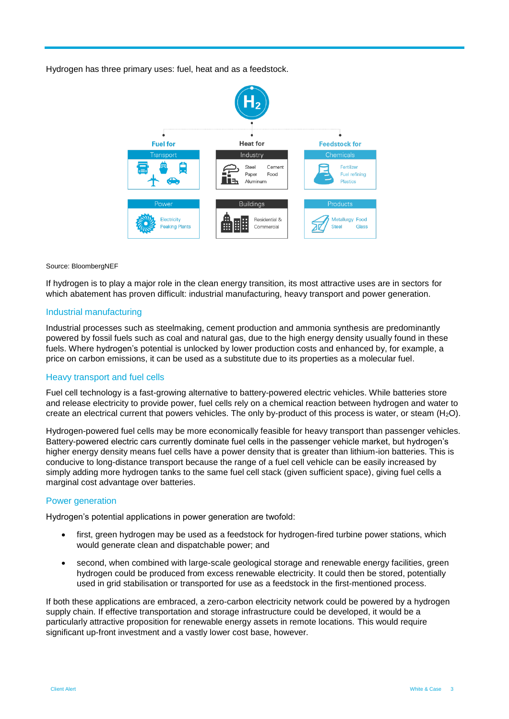Hydrogen has three primary uses: fuel, heat and as a feedstock.



Source: BloombergNEF

If hydrogen is to play a major role in the clean energy transition, its most attractive uses are in sectors for which abatement has proven difficult: industrial manufacturing, heavy transport and power generation.

#### Industrial manufacturing

Industrial processes such as steelmaking, cement production and ammonia synthesis are predominantly powered by fossil fuels such as coal and natural gas, due to the high energy density usually found in these fuels. Where hydrogen's potential is unlocked by lower production costs and enhanced by, for example, a price on carbon emissions, it can be used as a substitute due to its properties as a molecular fuel.

#### Heavy transport and fuel cells

Fuel cell technology is a fast-growing alternative to battery-powered electric vehicles. While batteries store and release electricity to provide power, fuel cells rely on a chemical reaction between hydrogen and water to create an electrical current that powers vehicles. The only by-product of this process is water, or steam  $(H_2O)$ .

Hydrogen-powered fuel cells may be more economically feasible for heavy transport than passenger vehicles. Battery-powered electric cars currently dominate fuel cells in the passenger vehicle market, but hydrogen's higher energy density means fuel cells have a power density that is greater than lithium-ion batteries. This is conducive to long-distance transport because the range of a fuel cell vehicle can be easily increased by simply adding more hydrogen tanks to the same fuel cell stack (given sufficient space), giving fuel cells a marginal cost advantage over batteries.

#### Power generation

Hydrogen's potential applications in power generation are twofold:

- first, green hydrogen may be used as a feedstock for hydrogen-fired turbine power stations, which would generate clean and dispatchable power; and
- second, when combined with large-scale geological storage and renewable energy facilities, green hydrogen could be produced from excess renewable electricity. It could then be stored, potentially used in grid stabilisation or transported for use as a feedstock in the first-mentioned process.

If both these applications are embraced, a zero-carbon electricity network could be powered by a hydrogen supply chain. If effective transportation and storage infrastructure could be developed, it would be a particularly attractive proposition for renewable energy assets in remote locations. This would require significant up-front investment and a vastly lower cost base, however.